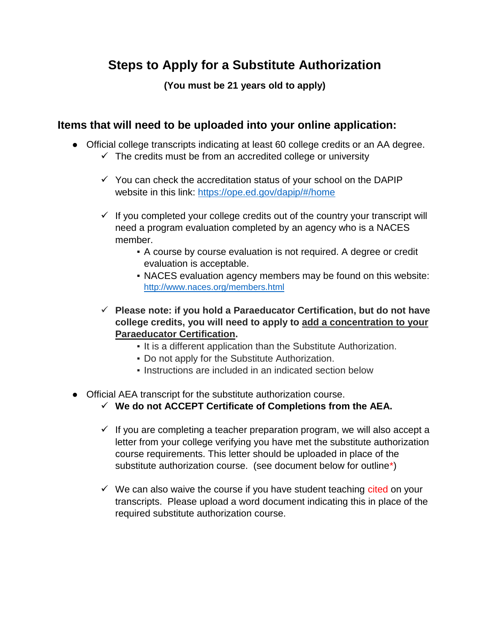# **Steps to Apply for a Substitute Authorization**

**(You must be 21 years old to apply)**

#### **Items that will need to be uploaded into your online application:**

- Official college transcripts indicating at least 60 college credits or an AA degree.  $\checkmark$  The credits must be from an accredited college or university
	- $\checkmark$  You can check the accreditation status of your school on the DAPIP website in this link:<https://ope.ed.gov/dapip/#/home>
	- $\checkmark$  If you completed your college credits out of the country your transcript will need a program evaluation completed by an agency who is a NACES member.
		- A course by course evaluation is not required. A degree or credit evaluation is acceptable.
		- NACES evaluation agency members may be found on this website: <http://www.naces.org/members.html>
	- ✓ **Please note: if you hold a Paraeducator Certification, but do not have college credits, you will need to apply to add a concentration to your Paraeducator Certification.** 
		- **.** It is a different application than the Substitute Authorization.
		- Do not apply for the Substitute Authorization.
		- Instructions are included in an indicated section below
- Official AEA transcript for the substitute authorization course.
	- ✓ **We do not ACCEPT Certificate of Completions from the AEA.**
	- $\checkmark$  If you are completing a teacher preparation program, we will also accept a letter from your college verifying you have met the substitute authorization course requirements. This letter should be uploaded in place of the substitute authorization course. (see document below for outline\*)
	- $\checkmark$  We can also waive the course if you have student teaching cited on your transcripts. Please upload a word document indicating this in place of the required substitute authorization course.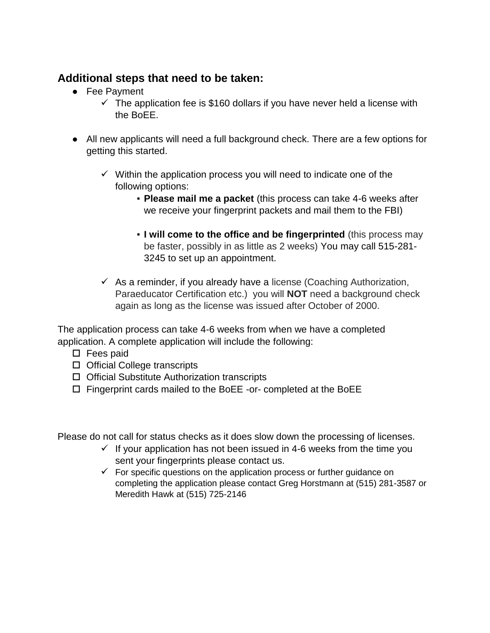#### **Additional steps that need to be taken:**

- Fee Payment
	- $\checkmark$  The application fee is \$160 dollars if you have never held a license with the BoEE.
- All new applicants will need a full background check. There are a few options for getting this started.
	- $\checkmark$  Within the application process you will need to indicate one of the following options:
		- **Please mail me a packet** (this process can take 4-6 weeks after we receive your fingerprint packets and mail them to the FBI)
		- **. I will come to the office and be fingerprinted** (this process may be faster, possibly in as little as 2 weeks) You may call 515-281- 3245 to set up an appointment.
	- $\checkmark$  As a reminder, if you already have a license (Coaching Authorization, Paraeducator Certification etc.) you will **NOT** need a background check again as long as the license was issued after October of 2000.

The application process can take 4-6 weeks from when we have a completed application. A complete application will include the following:

- $\square$  Fees paid
- □ Official College transcripts
- $\Box$  Official Substitute Authorization transcripts
- $\Box$  Fingerprint cards mailed to the BoEE -or- completed at the BoEE

Please do not call for status checks as it does slow down the processing of licenses.

- $\checkmark$  If your application has not been issued in 4-6 weeks from the time you sent your fingerprints please contact us.
- $\checkmark$  For specific questions on the application process or further guidance on completing the application please contact Greg Horstmann at (515) 281-3587 or Meredith Hawk at (515) 725-2146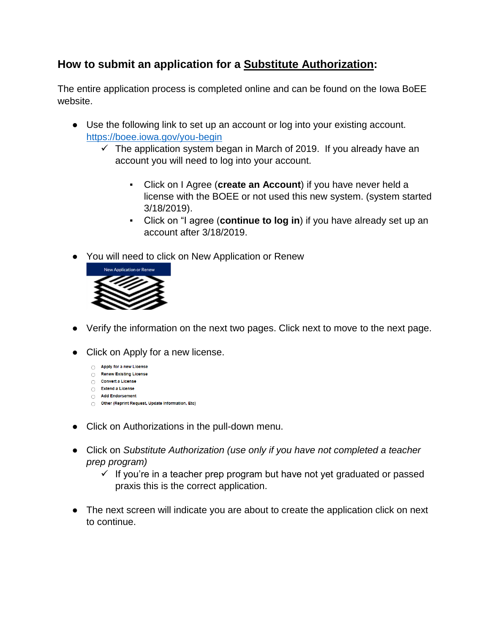## **How to submit an application for a Substitute Authorization:**

The entire application process is completed online and can be found on the Iowa BoEE website.

- Use the following link to set up an account or log into your existing account. <https://boee.iowa.gov/you-begin>
	- $\checkmark$  The application system began in March of 2019. If you already have an account you will need to log into your account.
		- Click on I Agree (**create an Account**) if you have never held a license with the BOEE or not used this new system. (system started 3/18/2019).
		- Click on "I agree (**continue to log in**) if you have already set up an account after 3/18/2019.
- You will need to click on New Application or Renew



- Verify the information on the next two pages. Click next to move to the next page.
- Click on Apply for a new license.
	- Apply for a new License
	- Renew Existing License
	- Convert a License ○ Extend a License
	- Add Endorsement
	- Other (Reprint Request, Update Information, Etc)
- Click on Authorizations in the pull-down menu.
- Click on *Substitute Authorization (use only if you have not completed a teacher prep program)*
	- $\checkmark$  If you're in a teacher prep program but have not yet graduated or passed praxis this is the correct application.
- The next screen will indicate you are about to create the application click on next to continue.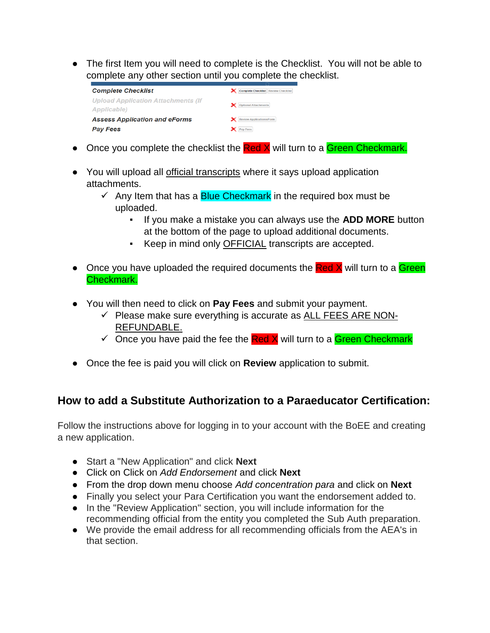• The first Item you will need to complete is the Checklist. You will not be able to complete any other section until you complete the checklist.

| <b>Complete Checklist</b>                                | Complete Checklist Review Checklist |
|----------------------------------------------------------|-------------------------------------|
| <b>Upload Application Attachments (If</b><br>Applicable) | Optional Attachments                |
| <b>Assess Application and eForms</b>                     | Review Application/eForm            |
| <b>Pay Fees</b>                                          | Pay Fees                            |

- Once you complete the checklist the Red X will turn to a Green Checkmark.
- You will upload all official transcripts where it says upload application attachments.
	- $\checkmark$  Any Item that has a Blue Checkmark in the required box must be uploaded.
		- If you make a mistake you can always use the **ADD MORE** button at the bottom of the page to upload additional documents.
		- Keep in mind only OFFICIAL transcripts are accepted.
- Once you have uploaded the required documents the Red X will turn to a Green Checkmark.
- You will then need to click on **Pay Fees** and submit your payment.
	- $\checkmark$  Please make sure everything is accurate as ALL FEES ARE NON-REFUNDABLE.
	- $\checkmark$  Once you have paid the fee the **Red X** will turn to a **Green Checkmark**
- Once the fee is paid you will click on **Review** application to submit.

## **How to add a Substitute Authorization to a Paraeducator Certification:**

Follow the instructions above for logging in to your account with the BoEE and creating a new application.

- Start a "New Application" and click **Next**
- Click on Click on *Add Endorsement* and click **Next**
- From the drop down menu choose *Add concentration para* and click on **Next**
- Finally you select your Para Certification you want the endorsement added to.
- In the "Review Application" section, you will include information for the recommending official from the entity you completed the Sub Auth preparation.
- We provide the email address for all recommending officials from the AEA's in that section.